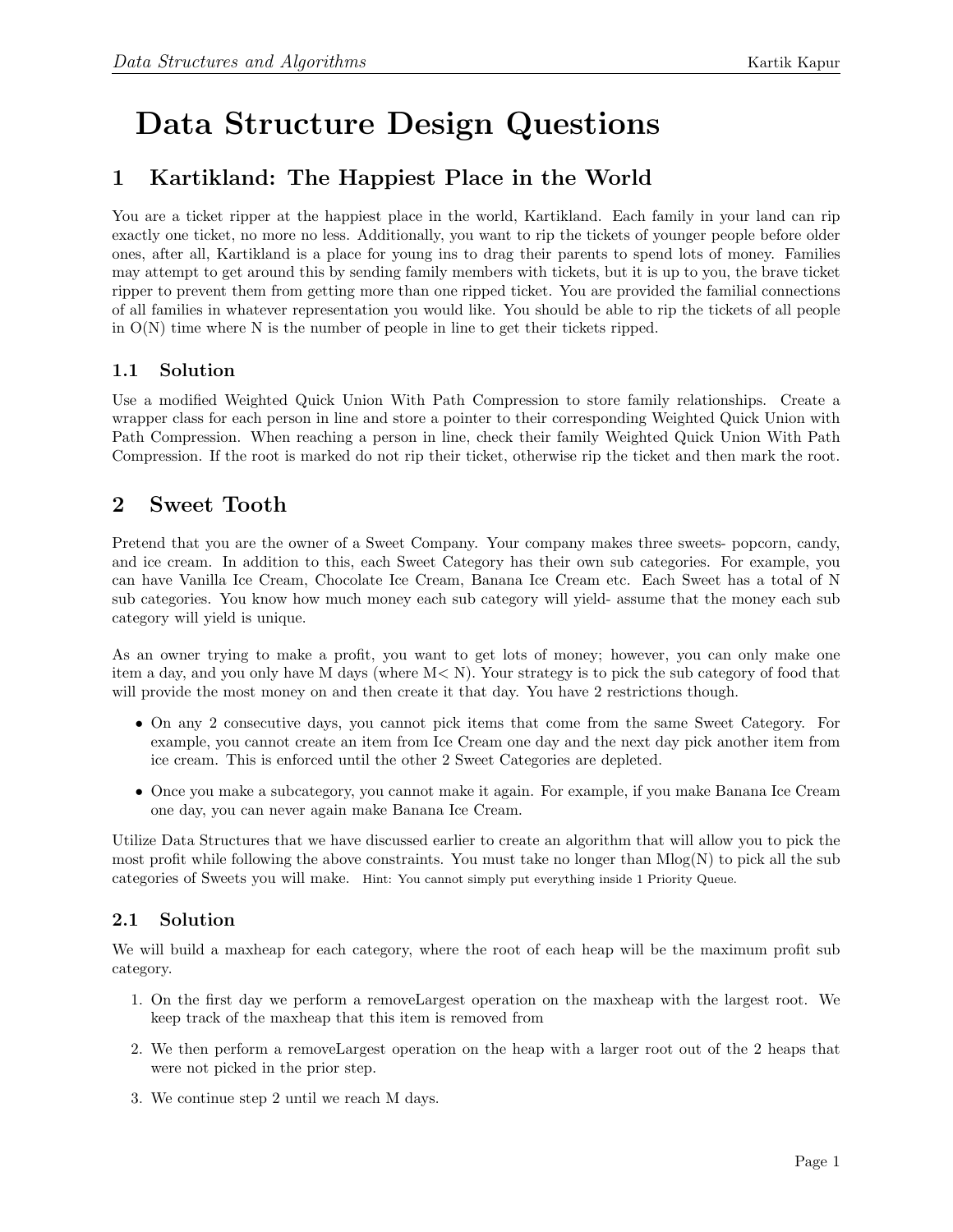# Data Structure Design Questions

# 1 Kartikland: The Happiest Place in the World

You are a ticket ripper at the happiest place in the world, Kartikland. Each family in your land can rip exactly one ticket, no more no less. Additionally, you want to rip the tickets of younger people before older ones, after all, Kartikland is a place for young ins to drag their parents to spend lots of money. Families may attempt to get around this by sending family members with tickets, but it is up to you, the brave ticket ripper to prevent them from getting more than one ripped ticket. You are provided the familial connections of all families in whatever representation you would like. You should be able to rip the tickets of all people in  $O(N)$  time where N is the number of people in line to get their tickets ripped.

### 1.1 Solution

Use a modified Weighted Quick Union With Path Compression to store family relationships. Create a wrapper class for each person in line and store a pointer to their corresponding Weighted Quick Union with Path Compression. When reaching a person in line, check their family Weighted Quick Union With Path Compression. If the root is marked do not rip their ticket, otherwise rip the ticket and then mark the root.

### 2 Sweet Tooth

Pretend that you are the owner of a Sweet Company. Your company makes three sweets- popcorn, candy, and ice cream. In addition to this, each Sweet Category has their own sub categories. For example, you can have Vanilla Ice Cream, Chocolate Ice Cream, Banana Ice Cream etc. Each Sweet has a total of N sub categories. You know how much money each sub category will yield- assume that the money each sub category will yield is unique.

As an owner trying to make a profit, you want to get lots of money; however, you can only make one item a day, and you only have M days (where M< N). Your strategy is to pick the sub category of food that will provide the most money on and then create it that day. You have 2 restrictions though.

- On any 2 consecutive days, you cannot pick items that come from the same Sweet Category. For example, you cannot create an item from Ice Cream one day and the next day pick another item from ice cream. This is enforced until the other 2 Sweet Categories are depleted.
- Once you make a subcategory, you cannot make it again. For example, if you make Banana Ice Cream one day, you can never again make Banana Ice Cream.

Utilize Data Structures that we have discussed earlier to create an algorithm that will allow you to pick the most profit while following the above constraints. You must take no longer than  $M \log(N)$  to pick all the sub categories of Sweets you will make. Hint: You cannot simply put everything inside 1 Priority Queue.

#### 2.1 Solution

We will build a maxheap for each category, where the root of each heap will be the maximum profit sub category.

- 1. On the first day we perform a removeLargest operation on the maxheap with the largest root. We keep track of the maxheap that this item is removed from
- 2. We then perform a removeLargest operation on the heap with a larger root out of the 2 heaps that were not picked in the prior step.
- 3. We continue step 2 until we reach M days.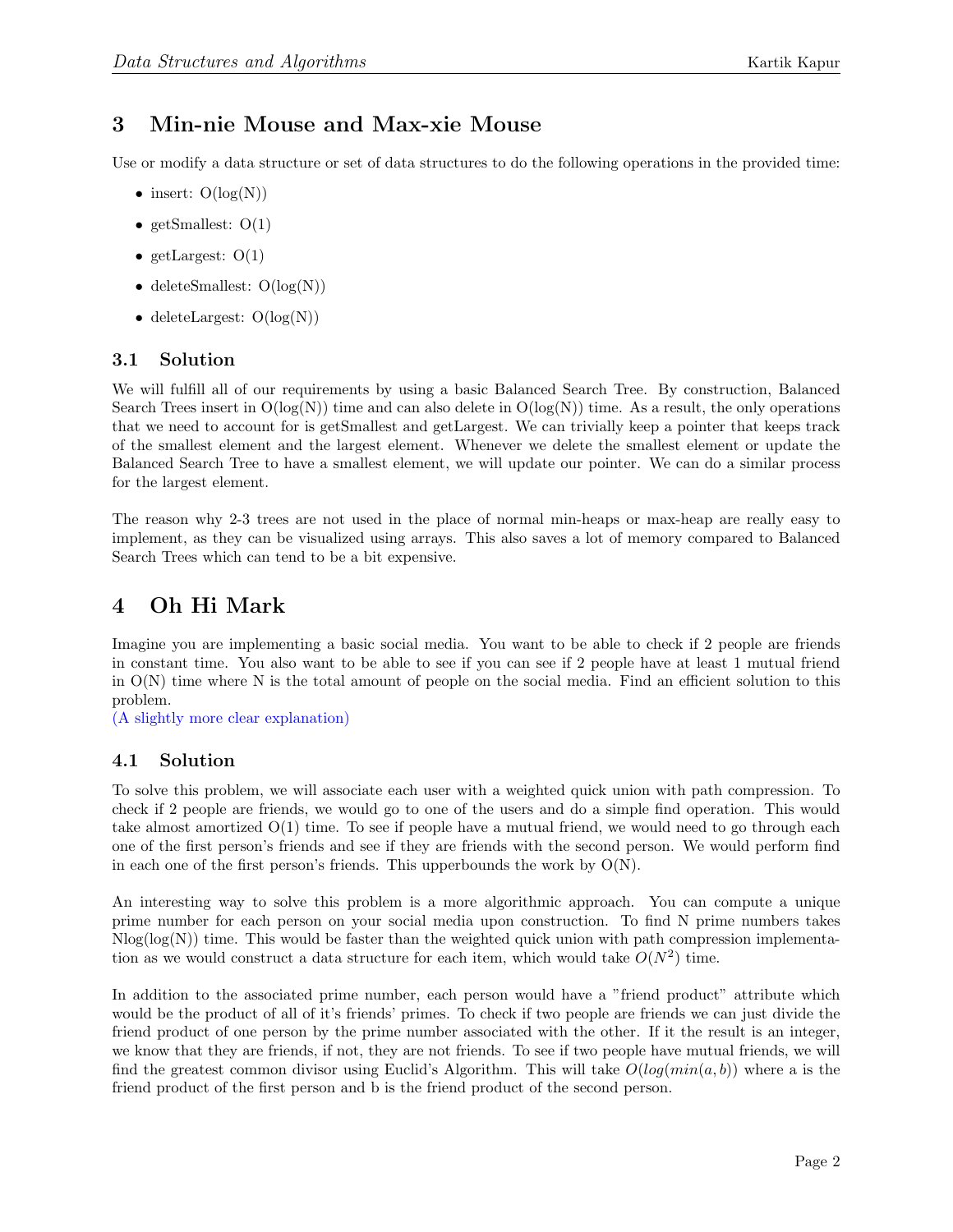## 3 Min-nie Mouse and Max-xie Mouse

Use or modify a data structure or set of data structures to do the following operations in the provided time:

- insert:  $O(log(N))$
- getSmallest:  $O(1)$
- getLargest:  $O(1)$
- deleteSmallest:  $O(log(N))$
- deleteLargest:  $O(log(N))$

#### 3.1 Solution

We will fulfill all of our requirements by using a basic Balanced Search Tree. By construction, Balanced Search Trees insert in  $O(log(N))$  time and can also delete in  $O(log(N))$  time. As a result, the only operations that we need to account for is getSmallest and getLargest. We can trivially keep a pointer that keeps track of the smallest element and the largest element. Whenever we delete the smallest element or update the Balanced Search Tree to have a smallest element, we will update our pointer. We can do a similar process for the largest element.

The reason why 2-3 trees are not used in the place of normal min-heaps or max-heap are really easy to implement, as they can be visualized using arrays. This also saves a lot of memory compared to Balanced Search Trees which can tend to be a bit expensive.

## 4 Oh Hi Mark

Imagine you are implementing a basic social media. You want to be able to check if 2 people are friends in constant time. You also want to be able to see if you can see if 2 people have at least 1 mutual friend in O(N) time where N is the total amount of people on the social media. Find an efficient solution to this problem.

[\(A slightly more clear explanation\)]( https://www.youtube.com/watch?v=EfeacZ2fuS8)

#### 4.1 Solution

To solve this problem, we will associate each user with a weighted quick union with path compression. To check if 2 people are friends, we would go to one of the users and do a simple find operation. This would take almost amortized  $O(1)$  time. To see if people have a mutual friend, we would need to go through each one of the first person's friends and see if they are friends with the second person. We would perform find in each one of the first person's friends. This upperbounds the work by  $O(N)$ .

An interesting way to solve this problem is a more algorithmic approach. You can compute a unique prime number for each person on your social media upon construction. To find N prime numbers takes  $N\log(\log(N))$  time. This would be faster than the weighted quick union with path compression implementation as we would construct a data structure for each item, which would take  $O(N^2)$  time.

In addition to the associated prime number, each person would have a "friend product" attribute which would be the product of all of it's friends' primes. To check if two people are friends we can just divide the friend product of one person by the prime number associated with the other. If it the result is an integer, we know that they are friends, if not, they are not friends. To see if two people have mutual friends, we will find the greatest common divisor using Euclid's Algorithm. This will take  $O(log(min(a, b))$  where a is the friend product of the first person and b is the friend product of the second person.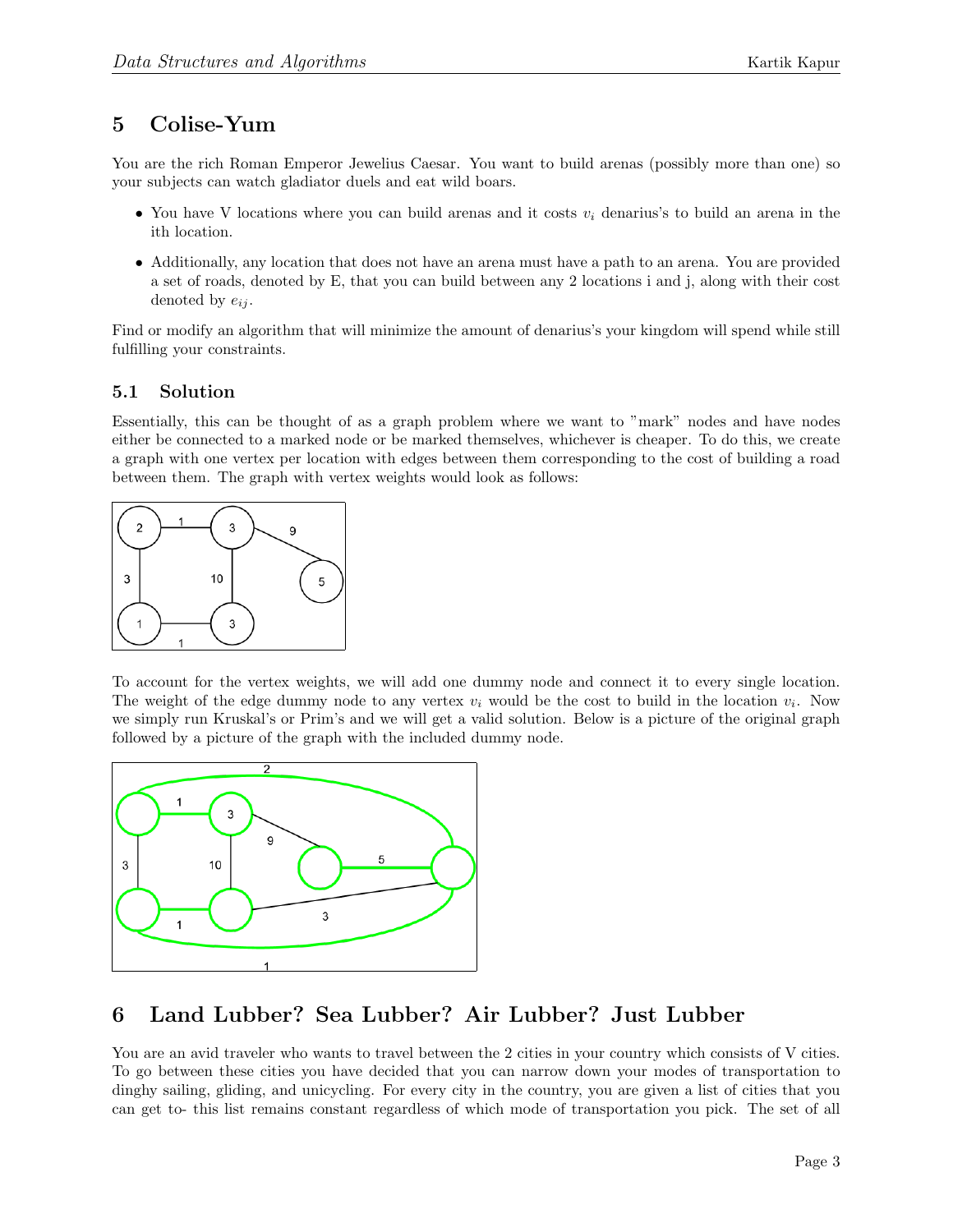## 5 Colise-Yum

You are the rich Roman Emperor Jewelius Caesar. You want to build arenas (possibly more than one) so your subjects can watch gladiator duels and eat wild boars.

- You have V locations where you can build arenas and it costs  $v_i$  denarius's to build an arena in the ith location.
- Additionally, any location that does not have an arena must have a path to an arena. You are provided a set of roads, denoted by E, that you can build between any 2 locations i and j, along with their cost denoted by  $e_{ij}$ .

Find or modify an algorithm that will minimize the amount of denarius's your kingdom will spend while still fulfilling your constraints.

#### 5.1 Solution

Essentially, this can be thought of as a graph problem where we want to "mark" nodes and have nodes either be connected to a marked node or be marked themselves, whichever is cheaper. To do this, we create a graph with one vertex per location with edges between them corresponding to the cost of building a road between them. The graph with vertex weights would look as follows:



To account for the vertex weights, we will add one dummy node and connect it to every single location. The weight of the edge dummy node to any vertex  $v_i$  would be the cost to build in the location  $v_i$ . Now we simply run Kruskal's or Prim's and we will get a valid solution. Below is a picture of the original graph followed by a picture of the graph with the included dummy node.



### 6 Land Lubber? Sea Lubber? Air Lubber? Just Lubber

You are an avid traveler who wants to travel between the 2 cities in your country which consists of V cities. To go between these cities you have decided that you can narrow down your modes of transportation to dinghy sailing, gliding, and unicycling. For every city in the country, you are given a list of cities that you can get to- this list remains constant regardless of which mode of transportation you pick. The set of all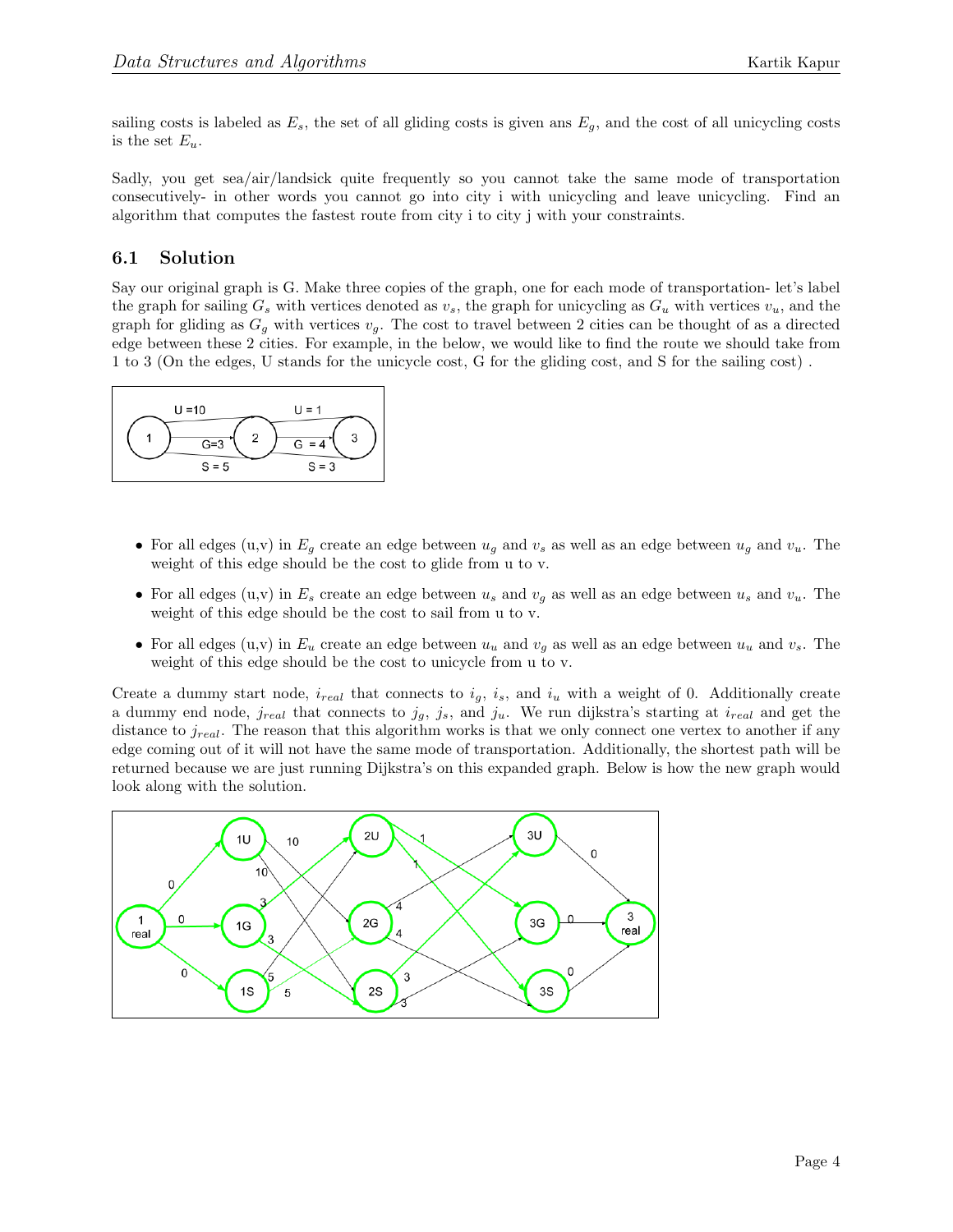sailing costs is labeled as  $E_s$ , the set of all gliding costs is given ans  $E_q$ , and the cost of all unicycling costs is the set  $E_u$ .

Sadly, you get sea/air/landsick quite frequently so you cannot take the same mode of transportation consecutively- in other words you cannot go into city i with unicycling and leave unicycling. Find an algorithm that computes the fastest route from city i to city j with your constraints.

#### 6.1 Solution

Say our original graph is G. Make three copies of the graph, one for each mode of transportation- let's label the graph for sailing  $G_s$  with vertices denoted as  $v_s$ , the graph for unicycling as  $G_u$  with vertices  $v_u$ , and the graph for gliding as  $G_g$  with vertices  $v_g$ . The cost to travel between 2 cities can be thought of as a directed edge between these 2 cities. For example, in the below, we would like to find the route we should take from 1 to 3 (On the edges, U stands for the unicycle cost, G for the gliding cost, and S for the sailing cost) .



- For all edges  $(u, v)$  in  $E_q$  create an edge between  $u_q$  and  $v_s$  as well as an edge between  $u_q$  and  $v_u$ . The weight of this edge should be the cost to glide from u to v.
- For all edges (u,v) in  $E_s$  create an edge between  $u_s$  and  $v_g$  as well as an edge between  $u_s$  and  $v_u$ . The weight of this edge should be the cost to sail from u to v.
- For all edges  $(u, v)$  in  $E_u$  create an edge between  $u_u$  and  $v_g$  as well as an edge between  $u_u$  and  $v_s$ . The weight of this edge should be the cost to unicycle from u to v.

Create a dummy start node,  $i_{real}$  that connects to  $i_g$ ,  $i_s$ , and  $i_u$  with a weight of 0. Additionally create a dummy end node,  $j_{real}$  that connects to  $j_g$ ,  $j_s$ , and  $j_u$ . We run dijkstra's starting at  $i_{real}$  and get the distance to  $j_{real}$ . The reason that this algorithm works is that we only connect one vertex to another if any edge coming out of it will not have the same mode of transportation. Additionally, the shortest path will be returned because we are just running Dijkstra's on this expanded graph. Below is how the new graph would look along with the solution.

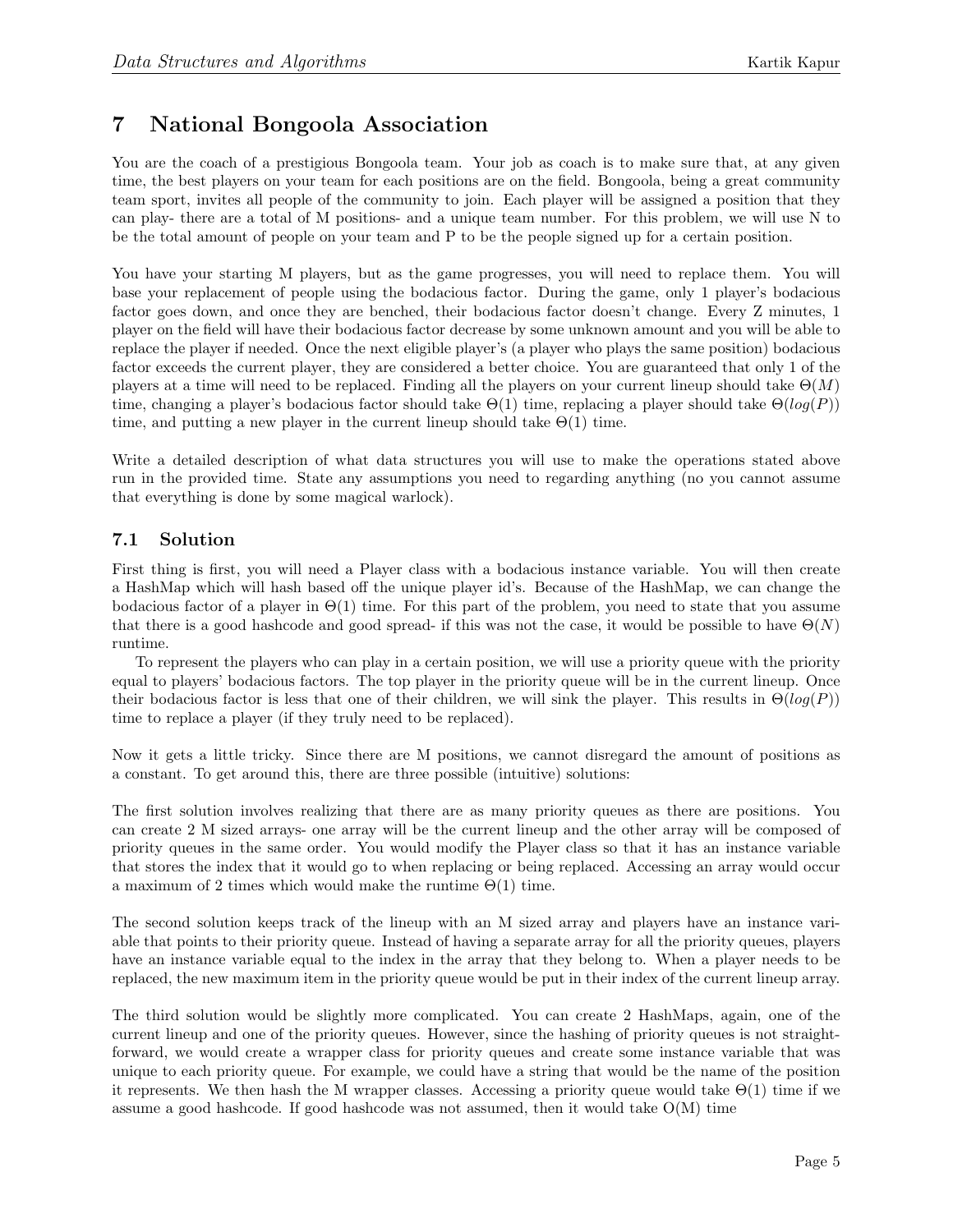### 7 National Bongoola Association

You are the coach of a prestigious Bongoola team. Your job as coach is to make sure that, at any given time, the best players on your team for each positions are on the field. Bongoola, being a great community team sport, invites all people of the community to join. Each player will be assigned a position that they can play- there are a total of M positions- and a unique team number. For this problem, we will use N to be the total amount of people on your team and P to be the people signed up for a certain position.

You have your starting M players, but as the game progresses, you will need to replace them. You will base your replacement of people using the bodacious factor. During the game, only 1 player's bodacious factor goes down, and once they are benched, their bodacious factor doesn't change. Every Z minutes, 1 player on the field will have their bodacious factor decrease by some unknown amount and you will be able to replace the player if needed. Once the next eligible player's (a player who plays the same position) bodacious factor exceeds the current player, they are considered a better choice. You are guaranteed that only 1 of the players at a time will need to be replaced. Finding all the players on your current lineup should take  $\Theta(M)$ time, changing a player's bodacious factor should take  $\Theta(1)$  time, replacing a player should take  $\Theta(log(P))$ time, and putting a new player in the current lineup should take  $\Theta(1)$  time.

Write a detailed description of what data structures you will use to make the operations stated above run in the provided time. State any assumptions you need to regarding anything (no you cannot assume that everything is done by some magical warlock).

#### 7.1 Solution

First thing is first, you will need a Player class with a bodacious instance variable. You will then create a HashMap which will hash based off the unique player id's. Because of the HashMap, we can change the bodacious factor of a player in  $\Theta(1)$  time. For this part of the problem, you need to state that you assume that there is a good hashcode and good spread- if this was not the case, it would be possible to have  $\Theta(N)$ runtime.

To represent the players who can play in a certain position, we will use a priority queue with the priority equal to players' bodacious factors. The top player in the priority queue will be in the current lineup. Once their bodacious factor is less that one of their children, we will sink the player. This results in  $\Theta(log(P))$ time to replace a player (if they truly need to be replaced).

Now it gets a little tricky. Since there are M positions, we cannot disregard the amount of positions as a constant. To get around this, there are three possible (intuitive) solutions:

The first solution involves realizing that there are as many priority queues as there are positions. You can create 2 M sized arrays- one array will be the current lineup and the other array will be composed of priority queues in the same order. You would modify the Player class so that it has an instance variable that stores the index that it would go to when replacing or being replaced. Accessing an array would occur a maximum of 2 times which would make the runtime  $\Theta(1)$  time.

The second solution keeps track of the lineup with an M sized array and players have an instance variable that points to their priority queue. Instead of having a separate array for all the priority queues, players have an instance variable equal to the index in the array that they belong to. When a player needs to be replaced, the new maximum item in the priority queue would be put in their index of the current lineup array.

The third solution would be slightly more complicated. You can create 2 HashMaps, again, one of the current lineup and one of the priority queues. However, since the hashing of priority queues is not straightforward, we would create a wrapper class for priority queues and create some instance variable that was unique to each priority queue. For example, we could have a string that would be the name of the position it represents. We then hash the M wrapper classes. Accessing a priority queue would take  $\Theta(1)$  time if we assume a good hashcode. If good hashcode was not assumed, then it would take  $O(M)$  time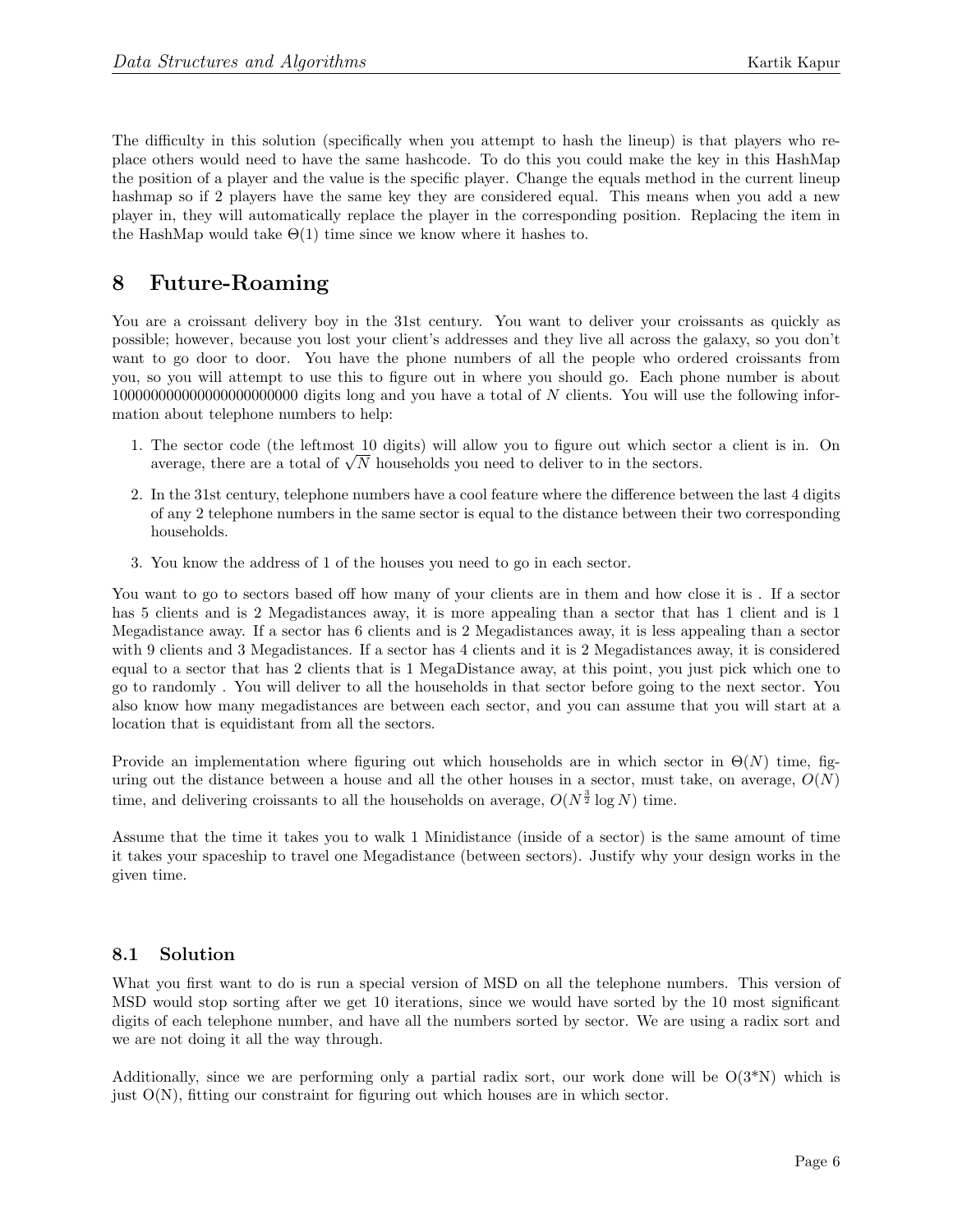The difficulty in this solution (specifically when you attempt to hash the lineup) is that players who replace others would need to have the same hashcode. To do this you could make the key in this HashMap the position of a player and the value is the specific player. Change the equals method in the current lineup hashmap so if 2 players have the same key they are considered equal. This means when you add a new player in, they will automatically replace the player in the corresponding position. Replacing the item in the HashMap would take  $\Theta(1)$  time since we know where it hashes to.

### 8 Future-Roaming

You are a croissant delivery boy in the 31st century. You want to deliver your croissants as quickly as possible; however, because you lost your client's addresses and they live all across the galaxy, so you don't want to go door to door. You have the phone numbers of all the people who ordered croissants from you, so you will attempt to use this to figure out in where you should go. Each phone number is about  $10000000000000000000000000000000$  digits long and you have a total of N clients. You will use the following information about telephone numbers to help:

- 1. The sector code (the leftmost 10 digits) will allow you to figure out which sector a client is in. On The sector code (the leftmost 10 digits) will allow you to figure out which sectors.<br>average, there are a total of  $\sqrt{N}$  households you need to deliver to in the sectors.
- 2. In the 31st century, telephone numbers have a cool feature where the difference between the last 4 digits of any 2 telephone numbers in the same sector is equal to the distance between their two corresponding households.
- 3. You know the address of 1 of the houses you need to go in each sector.

You want to go to sectors based off how many of your clients are in them and how close it is. If a sector has 5 clients and is 2 Megadistances away, it is more appealing than a sector that has 1 client and is 1 Megadistance away. If a sector has 6 clients and is 2 Megadistances away, it is less appealing than a sector with 9 clients and 3 Megadistances. If a sector has 4 clients and it is 2 Megadistances away, it is considered equal to a sector that has 2 clients that is 1 MegaDistance away, at this point, you just pick which one to go to randomly . You will deliver to all the households in that sector before going to the next sector. You also know how many megadistances are between each sector, and you can assume that you will start at a location that is equidistant from all the sectors.

Provide an implementation where figuring out which households are in which sector in  $\Theta(N)$  time, figuring out the distance between a house and all the other houses in a sector, must take, on average,  $O(N)$ time, and delivering croissants to all the households on average,  $O(N^{\frac{3}{2}} \log N)$  time.

Assume that the time it takes you to walk 1 Minidistance (inside of a sector) is the same amount of time it takes your spaceship to travel one Megadistance (between sectors). Justify why your design works in the given time.

#### 8.1 Solution

What you first want to do is run a special version of MSD on all the telephone numbers. This version of MSD would stop sorting after we get 10 iterations, since we would have sorted by the 10 most significant digits of each telephone number, and have all the numbers sorted by sector. We are using a radix sort and we are not doing it all the way through.

Additionally, since we are performing only a partial radix sort, our work done will be  $O(3*N)$  which is just  $O(N)$ , fitting our constraint for figuring out which houses are in which sector.